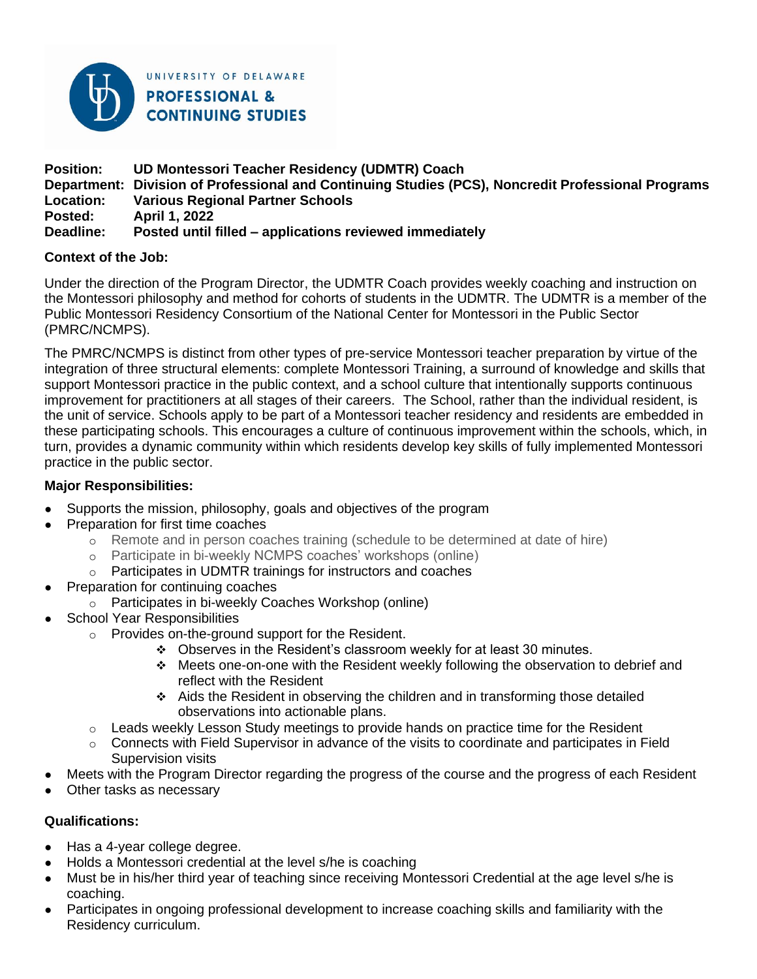

UNIVERSITY OF DELAWARE **PROFESSIONAL & CONTINUING STUDIES** 

#### **Position: UD Montessori Teacher Residency (UDMTR) Coach Department: Division of Professional and Continuing Studies (PCS), Noncredit Professional Programs Location: Various Regional Partner Schools Posted: April 1, 2022 Posted until filled – applications reviewed immediately**

### **Context of the Job:**

Under the direction of the Program Director, the UDMTR Coach provides weekly coaching and instruction on the Montessori philosophy and method for cohorts of students in the UDMTR. The UDMTR is a member of the Public Montessori Residency Consortium of the National Center for Montessori in the Public Sector (PMRC/NCMPS).

The PMRC/NCMPS is distinct from other types of pre-service Montessori teacher preparation by virtue of the integration of three structural elements: complete Montessori Training, a surround of knowledge and skills that support Montessori practice in the public context, and a school culture that intentionally supports continuous improvement for practitioners at all stages of their careers. The School, rather than the individual resident, is the unit of service. Schools apply to be part of a Montessori teacher residency and residents are embedded in these participating schools. This encourages a culture of continuous improvement within the schools, which, in turn, provides a dynamic community within which residents develop key skills of fully implemented Montessori practice in the public sector.

#### **Major Responsibilities:**

- Supports the mission, philosophy, goals and objectives of the program
- Preparation for first time coaches
	- o Remote and in person coaches training (schedule to be determined at date of hire)
	- o Participate in bi-weekly NCMPS coaches' workshops (online)
	- o Participates in UDMTR trainings for instructors and coaches
- Preparation for continuing coaches
	- o Participates in bi-weekly Coaches Workshop (online)
- **School Year Responsibilities** 
	- o Provides on-the-ground support for the Resident.
		- $\div$  Observes in the Resident's classroom weekly for at least 30 minutes.
		- ❖ Meets one-on-one with the Resident weekly following the observation to debrief and reflect with the Resident
		- ❖ Aids the Resident in observing the children and in transforming those detailed observations into actionable plans.
	- $\circ$  Leads weekly Lesson Study meetings to provide hands on practice time for the Resident
	- $\circ$  Connects with Field Supervisor in advance of the visits to coordinate and participates in Field Supervision visits
- Meets with the Program Director regarding the progress of the course and the progress of each Resident
- Other tasks as necessary

## **Qualifications:**

- Has a 4-year college degree.
- Holds a Montessori credential at the level s/he is coaching
- Must be in his/her third year of teaching since receiving Montessori Credential at the age level s/he is coaching.
- Participates in ongoing professional development to increase coaching skills and familiarity with the Residency curriculum.